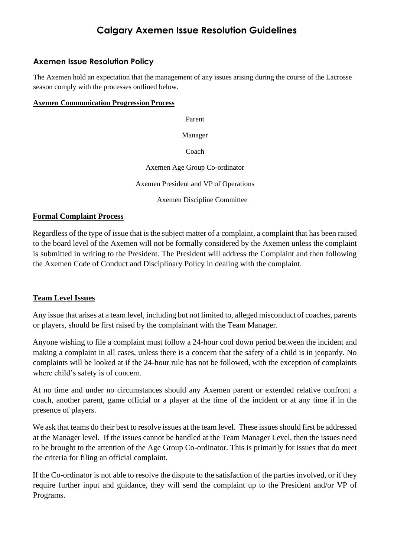# **Calgary Axemen Issue Resolution Guidelines**

## **Axemen Issue Resolution Policy**

The Axemen hold an expectation that the management of any issues arising during the course of the Lacrosse season comply with the processes outlined below.

#### **Axemen Communication Progression Process**

Parent

Manager

Coach

Axemen Age Group Co-ordinator

Axemen President and VP of Operations

Axemen Discipline Committee

#### **Formal Complaint Process**

Regardless of the type of issue that is the subject matter of a complaint, a complaint that has been raised to the board level of the Axemen will not be formally considered by the Axemen unless the complaint is submitted in writing to the President. The President will address the Complaint and then following the Axemen Code of Conduct and Disciplinary Policy in dealing with the complaint.

### **Team Level Issues**

Any issue that arises at a team level, including but not limited to, alleged misconduct of coaches, parents or players, should be first raised by the complainant with the Team Manager.

Anyone wishing to file a complaint must follow a 24-hour cool down period between the incident and making a complaint in all cases, unless there is a concern that the safety of a child is in jeopardy. No complaints will be looked at if the 24-hour rule has not be followed, with the exception of complaints where child's safety is of concern.

At no time and under no circumstances should any Axemen parent or extended relative confront a coach, another parent, game official or a player at the time of the incident or at any time if in the presence of players.

We ask that teams do their best to resolve issues at the team level. These issues should first be addressed at the Manager level. If the issues cannot be handled at the Team Manager Level, then the issues need to be brought to the attention of the Age Group Co-ordinator. This is primarily for issues that do meet the criteria for filing an official complaint.

If the Co-ordinator is not able to resolve the dispute to the satisfaction of the parties involved, or if they require further input and guidance, they will send the complaint up to the President and/or VP of Programs.